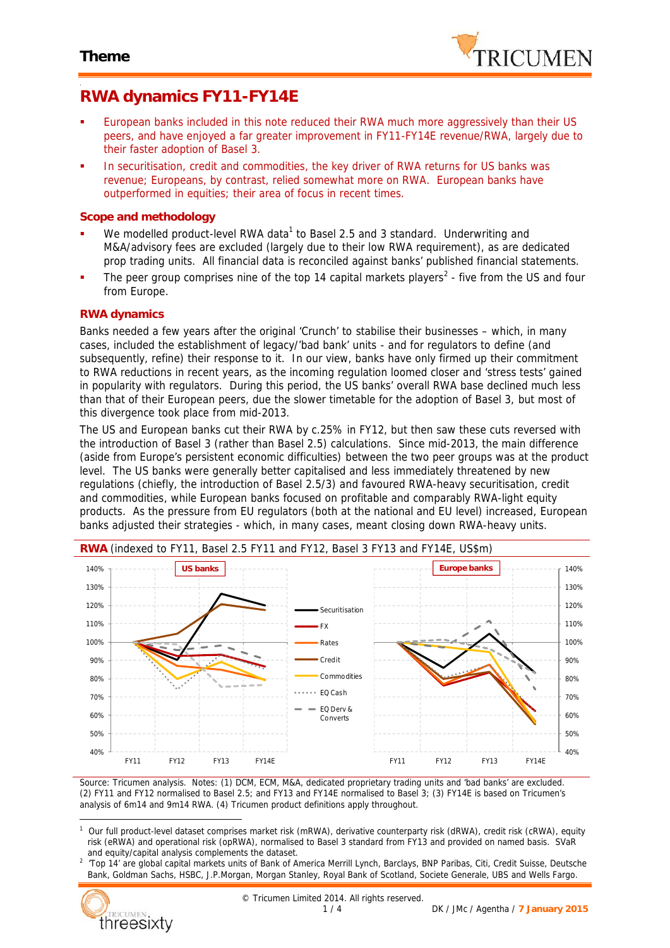

# **RWA dynamics FY11-FY14E**

- European banks included in this note reduced their RWA much more aggressively than their US peers, and have enjoyed a far greater improvement in FY11-FY14E revenue/RWA, largely due to their faster adoption of Basel 3.
- In securitisation, credit and commodities, the key driver of RWA returns for US banks was revenue; Europeans, by contrast, relied somewhat more on RWA. European banks have outperformed in equities; their area of focus in recent times.

### **Scope and methodology**

- We modelled product-level RWA data<sup>1</sup> to Basel 2.5 and 3 standard. Underwriting and M&A/advisory fees are excluded (largely due to their low RWA requirement), as are dedicated prop trading units. All financial data is reconciled against banks' published financial statements.
- The peer group comprises nine of the top 14 capital markets players<sup>2</sup> five from the US and four from Europe.

### **RWA dynamics**

Banks needed a few years after the original 'Crunch' to stabilise their businesses – which, in many cases, included the establishment of legacy/'bad bank' units - and for regulators to define (and subsequently, refine) their response to it. In our view, banks have only firmed up their commitment to RWA reductions in recent years, as the incoming regulation loomed closer and 'stress tests' gained in popularity with regulators. During this period, the US banks' overall RWA base declined much less than that of their European peers, due the slower timetable for the adoption of Basel 3, but most of this divergence took place from mid-2013.

The US and European banks cut their RWA by c.25% in FY12, but then saw these cuts reversed with the introduction of Basel 3 (rather than Basel 2.5) calculations. Since mid-2013, the main difference (aside from Europe's persistent economic difficulties) between the two peer groups was at the product level. The US banks were generally better capitalised and less immediately threatened by new regulations (chiefly, the introduction of Basel 2.5/3) and favoured RWA-heavy securitisation, credit and commodities, while European banks focused on profitable and comparably RWA-light equity products. As the pressure from EU regulators (both at the national and EU level) increased, European banks adjusted their strategies - which, in many cases, meant closing down RWA-heavy units.



*Source: Tricumen analysis. Notes: (1) DCM, ECM, M&A, dedicated proprietary trading units and 'bad banks' are excluded. (2) FY11 and FY12 normalised to Basel 2.5; and FY13 and FY14E normalised to Basel 3; (3) FY14E is based on Tricumen's*

*analysis of 6m14 and 9m14 RWA. (4) Tricumen product definitions apply throughout.*

*<sup>2</sup> 'Top 14' are global capital markets units of Bank of America Merrill Lynch, Barclays, BNP Paribas, Citi, Credit Suisse, Deutsche Bank, Goldman Sachs, HSBC, J.P.Morgan, Morgan Stanley, Royal Bank of Scotland, Societe Generale, UBS and Wells Fargo.*



*<sup>1</sup> Our full product-level dataset comprises market risk (mRWA), derivative counterparty risk (dRWA), credit risk (cRWA), equity risk (eRWA) and operational risk (opRWA), normalised to Basel 3 standard from FY13 and provided on named basis. SVaR and equity/capital analysis complements the dataset.*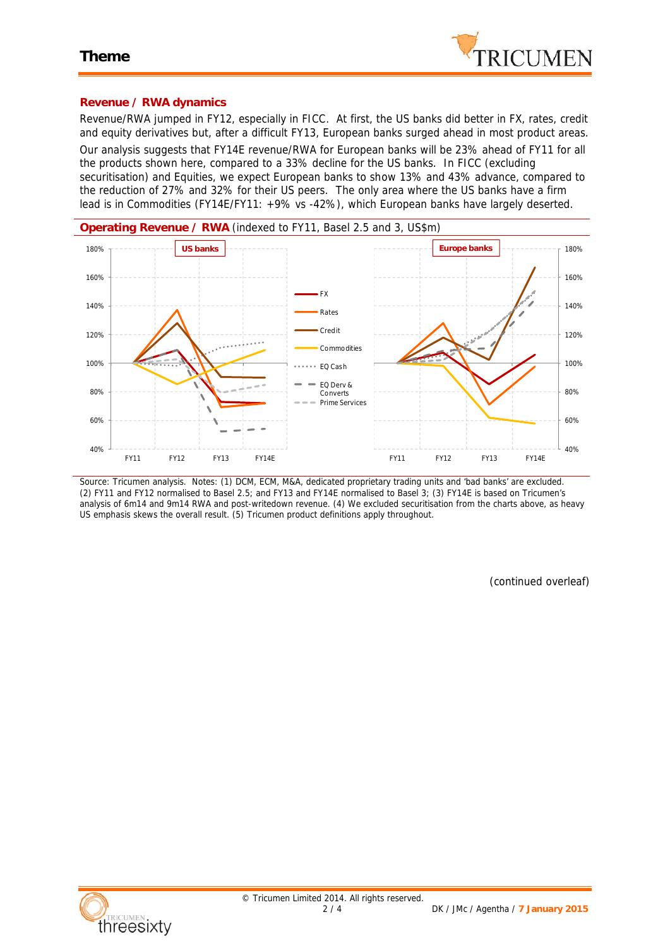

### **Revenue / RWA dynamics**

Revenue/RWA jumped in FY12, especially in FICC. At first, the US banks did better in FX, rates, credit and equity derivatives but, after a difficult FY13, European banks surged ahead in most product areas. Our analysis suggests that FY14E revenue/RWA for European banks will be 23% ahead of FY11 for all the products shown here, compared to a 33% decline for the US banks. In FICC (excluding securitisation) and Equities, we expect European banks to show 13% and 43% advance, compared to the reduction of 27% and 32% for their US peers. The only area where the US banks have a firm lead is in Commodities (FY14E/FY11: +9% vs -42%), which European banks have largely deserted.



*Source: Tricumen analysis. Notes: (1) DCM, ECM, M&A, dedicated proprietary trading units and 'bad banks' are excluded. (2) FY11 and FY12 normalised to Basel 2.5; and FY13 and FY14E normalised to Basel 3; (3) FY14E is based on Tricumen's analysis of 6m14 and 9m14 RWA and post-writedown revenue. (4) We excluded securitisation from the charts above, as heavy US emphasis skews the overall result. (5) Tricumen product definitions apply throughout.*

*(continued overleaf)*

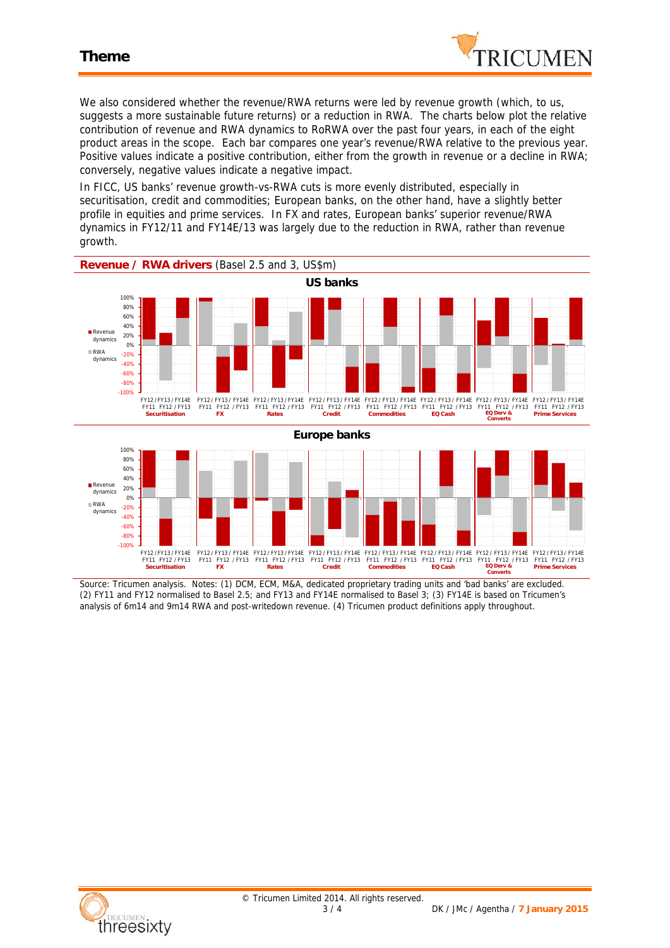

We also considered whether the revenue/RWA returns were led by revenue growth (which, to us, suggests a more sustainable future returns) or a reduction in RWA. The charts below plot the relative contribution of revenue and RWA dynamics to RoRWA over the past four years, in each of the eight product areas in the scope. Each bar compares one year's revenue/RWA relative to the previous year. Positive values indicate a positive contribution, either from the growth in revenue or a decline in RWA; conversely, negative values indicate a negative impact.

In FICC, US banks' revenue growth-vs-RWA cuts is more evenly distributed, especially in securitisation, credit and commodities; European banks, on the other hand, have a slightly better profile in equities and prime services. In FX and rates, European banks' superior revenue/RWA dynamics in FY12/11 and FY14E/13 was largely due to the reduction in RWA, rather than revenue growth.



*Source: Tricumen analysis. Notes: (1) DCM, ECM, M&A, dedicated proprietary trading units and 'bad banks' are excluded. (2) FY11 and FY12 normalised to Basel 2.5; and FY13 and FY14E normalised to Basel 3; (3) FY14E is based on Tricumen's analysis of 6m14 and 9m14 RWA and post-writedown revenue. (4) Tricumen product definitions apply throughout.*